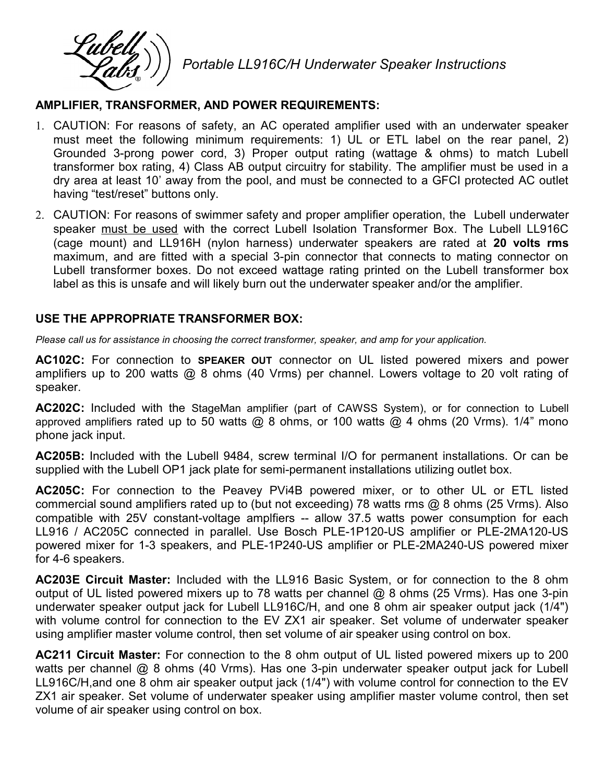Portable LL916C/H Underwater Speaker Instructions

## AMPLIFIER, TRANSFORMER, AND POWER REQUIREMENTS:

- 1. CAUTION: For reasons of safety, an AC operated amplifier used with an underwater speaker must meet the following minimum requirements: 1) UL or ETL label on the rear panel, 2) Grounded 3-prong power cord, 3) Proper output rating (wattage & ohms) to match Lubell transformer box rating, 4) Class AB output circuitry for stability. The amplifier must be used in a dry area at least 10' away from the pool, and must be connected to a GFCI protected AC outlet having "test/reset" buttons only.
- 2. CAUTION: For reasons of swimmer safety and proper amplifier operation, the Lubell underwater speaker must be used with the correct Lubell Isolation Transformer Box. The Lubell LL916C (cage mount) and LL916H (nylon harness) underwater speakers are rated at 20 volts rms maximum, and are fitted with a special 3-pin connector that connects to mating connector on Lubell transformer boxes. Do not exceed wattage rating printed on the Lubell transformer box label as this is unsafe and will likely burn out the underwater speaker and/or the amplifier.

## USE THE APPROPRIATE TRANSFORMER BOX:

Please call us for assistance in choosing the correct transformer, speaker, and amp for your application.

AC102C: For connection to SPEAKER OUT connector on UL listed powered mixers and power amplifiers up to 200 watts @ 8 ohms (40 Vrms) per channel. Lowers voltage to 20 volt rating of speaker.

AC202C: Included with the StageMan amplifier (part of CAWSS System), or for connection to Lubell approved amplifiers rated up to 50 watts  $@$  8 ohms, or 100 watts  $@$  4 ohms (20 Vrms). 1/4" mono phone jack input.

AC205B: Included with the Lubell 9484, screw terminal I/O for permanent installations. Or can be supplied with the Lubell OP1 jack plate for semi-permanent installations utilizing outlet box.

AC205C: For connection to the Peavey PVi4B powered mixer, or to other UL or ETL listed commercial sound amplifiers rated up to (but not exceeding) 78 watts rms @ 8 ohms (25 Vrms). Also compatible with 25V constant-voltage amplfiers -- allow 37.5 watts power consumption for each LL916 / AC205C connected in parallel. Use Bosch PLE-1P120-US amplifier or PLE-2MA120-US powered mixer for 1-3 speakers, and PLE-1P240-US amplifier or PLE-2MA240-US powered mixer for 4-6 speakers.

AC203E Circuit Master: Included with the LL916 Basic System, or for connection to the 8 ohm output of UL listed powered mixers up to 78 watts per channel @ 8 ohms (25 Vrms). Has one 3-pin underwater speaker output jack for Lubell LL916C/H, and one 8 ohm air speaker output jack (1/4") with volume control for connection to the EV ZX1 air speaker. Set volume of underwater speaker using amplifier master volume control, then set volume of air speaker using control on box.

AC211 Circuit Master: For connection to the 8 ohm output of UL listed powered mixers up to 200 watts per channel @ 8 ohms (40 Vrms). Has one 3-pin underwater speaker output jack for Lubell LL916C/H,and one 8 ohm air speaker output jack (1/4") with volume control for connection to the EV ZX1 air speaker. Set volume of underwater speaker using amplifier master volume control, then set volume of air speaker using control on box.